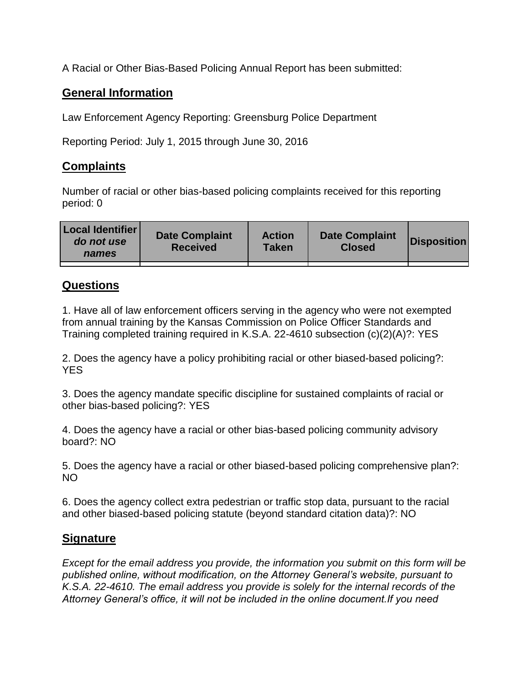A Racial or Other Bias-Based Policing Annual Report has been submitted:

## **General Information**

Law Enforcement Agency Reporting: Greensburg Police Department

Reporting Period: July 1, 2015 through June 30, 2016

## **Complaints**

Number of racial or other bias-based policing complaints received for this reporting period: 0

| <b>Local Identifier</b><br>do not use<br>names | <b>Date Complaint</b><br><b>Received</b> | <b>Action</b><br><b>Taken</b> | <b>Date Complaint</b><br><b>Closed</b> | Disposition |
|------------------------------------------------|------------------------------------------|-------------------------------|----------------------------------------|-------------|
|                                                |                                          |                               |                                        |             |

## **Questions**

1. Have all of law enforcement officers serving in the agency who were not exempted from annual training by the Kansas Commission on Police Officer Standards and Training completed training required in K.S.A. 22-4610 subsection (c)(2)(A)?: YES

2. Does the agency have a policy prohibiting racial or other biased-based policing?: YES

3. Does the agency mandate specific discipline for sustained complaints of racial or other bias-based policing?: YES

4. Does the agency have a racial or other bias-based policing community advisory board?: NO

5. Does the agency have a racial or other biased-based policing comprehensive plan?: NO

6. Does the agency collect extra pedestrian or traffic stop data, pursuant to the racial and other biased-based policing statute (beyond standard citation data)?: NO

## **Signature**

*Except for the email address you provide, the information you submit on this form will be published online, without modification, on the Attorney General's website, pursuant to K.S.A. 22-4610. The email address you provide is solely for the internal records of the Attorney General's office, it will not be included in the online document.If you need*